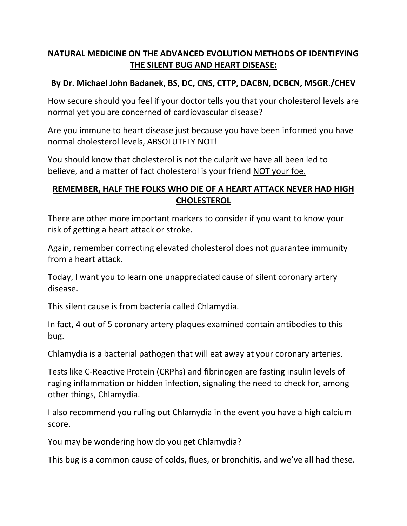## **NATURAL MEDICINE ON THE ADVANCED EVOLUTION METHODS OF IDENTIFYING THE SILENT BUG AND HEART DISEASE:**

## **By Dr. Michael John Badanek, BS, DC, CNS, CTTP, DACBN, DCBCN, MSGR./CHEV**

How secure should you feel if your doctor tells you that your cholesterol levels are normal yet you are concerned of cardiovascular disease?

Are you immune to heart disease just because you have been informed you have normal cholesterol levels, ABSOLUTELY NOT!

You should know that cholesterol is not the culprit we have all been led to believe, and a matter of fact cholesterol is your friend NOT your foe.

## **REMEMBER, HALF THE FOLKS WHO DIE OF A HEART ATTACK NEVER HAD HIGH CHOLESTEROL**

There are other more important markers to consider if you want to know your risk of getting a heart attack or stroke.

Again, remember correcting elevated cholesterol does not guarantee immunity from a heart attack.

Today, I want you to learn one unappreciated cause of silent coronary artery disease.

This silent cause is from bacteria called Chlamydia.

In fact, 4 out of 5 coronary artery plaques examined contain antibodies to this bug.

Chlamydia is a bacterial pathogen that will eat away at your coronary arteries.

Tests like C-Reactive Protein (CRPhs) and fibrinogen are fasting insulin levels of raging inflammation or hidden infection, signaling the need to check for, among other things, Chlamydia.

I also recommend you ruling out Chlamydia in the event you have a high calcium score.

You may be wondering how do you get Chlamydia?

This bug is a common cause of colds, flues, or bronchitis, and we've all had these.